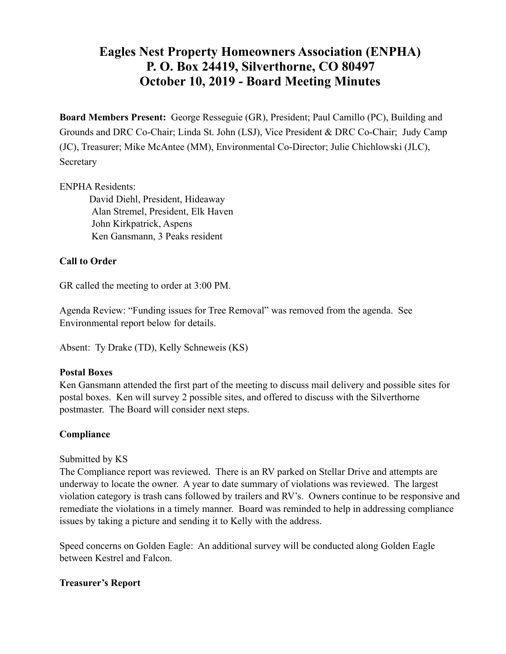# **Eagles Nest Property Homeowners Association (ENPHA) P. O. Box 24419, Silverthorne, CO 80497 October 10, 2019 - Board Meeting Minutes**

**Board Members Present:** George Resseguie (GR), President; Paul Camillo (PC), Building and Grounds and DRC Co-Chair; Linda St. John (LSJ), Vice President & DRC Co-Chair; Judy Camp (JC), Treasurer; Mike McAntee (MM), Environmental Co-Director; Julie Chichlowski (JLC), Secretary

#### ENPHA Residents:

 David Diehl, President, Hideaway Alan Stremel, President, Elk Haven John Kirkpatrick, Aspens Ken Gansmann, 3 Peaks resident

# **Call to Order**

GR called the meeting to order at 3:00 PM.

Agenda Review: "Funding issues for Tree Removal" was removed from the agenda. See Environmental report below for details.

Absent: Ty Drake (TD), Kelly Schneweis (KS)

#### **Postal Boxes**

Ken Gansmann attended the first part of the meeting to discuss mail delivery and possible sites for postal boxes. Ken will survey 2 possible sites, and offered to discuss with the Silverthorne postmaster. The Board will consider next steps.

# **Compliance**

#### Submitted by KS

The Compliance report was reviewed. There is an RV parked on Stellar Drive and attempts are underway to locate the owner. A year to date summary of violations was reviewed. The largest violation category is trash cans followed by trailers and RV's. Owners continue to be responsive and remediate the violations in a timely manner. Board was reminded to help in addressing compliance issues by taking a picture and sending it to Kelly with the address.

Speed concerns on Golden Eagle: An additional survey will be conducted along Golden Eagle between Kestrel and Falcon.

# **Treasurer's Report**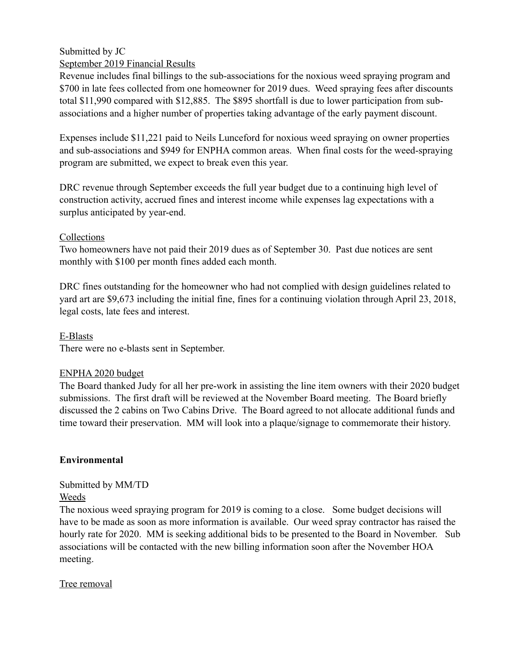#### Submitted by JC September 2019 Financial Results

Revenue includes final billings to the sub-associations for the noxious weed spraying program and \$700 in late fees collected from one homeowner for 2019 dues. Weed spraying fees after discounts total \$11,990 compared with \$12,885. The \$895 shortfall is due to lower participation from subassociations and a higher number of properties taking advantage of the early payment discount.

Expenses include \$11,221 paid to Neils Lunceford for noxious weed spraying on owner properties and sub-associations and \$949 for ENPHA common areas. When final costs for the weed-spraying program are submitted, we expect to break even this year.

DRC revenue through September exceeds the full year budget due to a continuing high level of construction activity, accrued fines and interest income while expenses lag expectations with a surplus anticipated by year-end.

### Collections

Two homeowners have not paid their 2019 dues as of September 30. Past due notices are sent monthly with \$100 per month fines added each month.

DRC fines outstanding for the homeowner who had not complied with design guidelines related to yard art are \$9,673 including the initial fine, fines for a continuing violation through April 23, 2018, legal costs, late fees and interest.

E-Blasts

There were no e-blasts sent in September.

# ENPHA 2020 budget

The Board thanked Judy for all her pre-work in assisting the line item owners with their 2020 budget submissions. The first draft will be reviewed at the November Board meeting. The Board briefly discussed the 2 cabins on Two Cabins Drive. The Board agreed to not allocate additional funds and time toward their preservation. MM will look into a plaque/signage to commemorate their history.

# **Environmental**

Submitted by MM/TD

Weeds

The noxious weed spraying program for 2019 is coming to a close. Some budget decisions will have to be made as soon as more information is available. Our weed spray contractor has raised the hourly rate for 2020. MM is seeking additional bids to be presented to the Board in November. Sub associations will be contacted with the new billing information soon after the November HOA meeting.

# Tree removal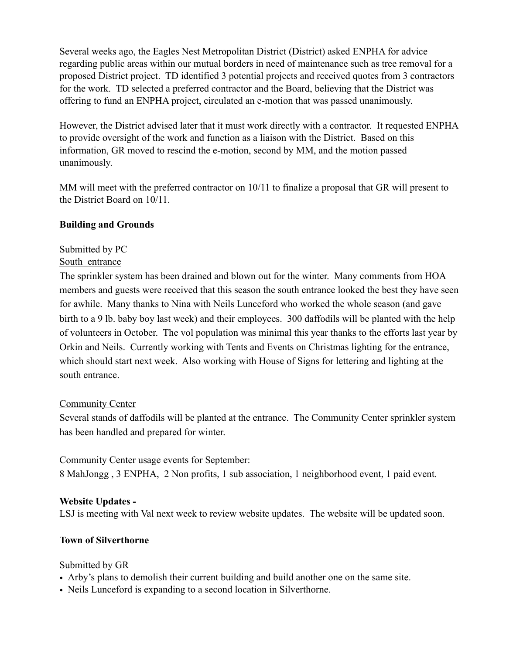Several weeks ago, the Eagles Nest Metropolitan District (District) asked ENPHA for advice regarding public areas within our mutual borders in need of maintenance such as tree removal for a proposed District project. TD identified 3 potential projects and received quotes from 3 contractors for the work. TD selected a preferred contractor and the Board, believing that the District was offering to fund an ENPHA project, circulated an e-motion that was passed unanimously.

However, the District advised later that it must work directly with a contractor. It requested ENPHA to provide oversight of the work and function as a liaison with the District. Based on this information, GR moved to rescind the e-motion, second by MM, and the motion passed unanimously.

MM will meet with the preferred contractor on 10/11 to finalize a proposal that GR will present to the District Board on 10/11.

### **Building and Grounds**

Submitted by PC South entrance

The sprinkler system has been drained and blown out for the winter. Many comments from HOA members and guests were received that this season the south entrance looked the best they have seen for awhile. Many thanks to Nina with Neils Lunceford who worked the whole season (and gave birth to a 9 lb. baby boy last week) and their employees. 300 daffodils will be planted with the help of volunteers in October. The vol population was minimal this year thanks to the efforts last year by Orkin and Neils. Currently working with Tents and Events on Christmas lighting for the entrance, which should start next week. Also working with House of Signs for lettering and lighting at the south entrance.

#### Community Center

Several stands of daffodils will be planted at the entrance. The Community Center sprinkler system has been handled and prepared for winter.

Community Center usage events for September:

8 MahJongg , 3 ENPHA, 2 Non profits, 1 sub association, 1 neighborhood event, 1 paid event.

# **Website Updates -**

LSJ is meeting with Val next week to review website updates. The website will be updated soon.

# **Town of Silverthorne**

#### Submitted by GR

- Arby's plans to demolish their current building and build another one on the same site.
- Neils Lunceford is expanding to a second location in Silverthorne.